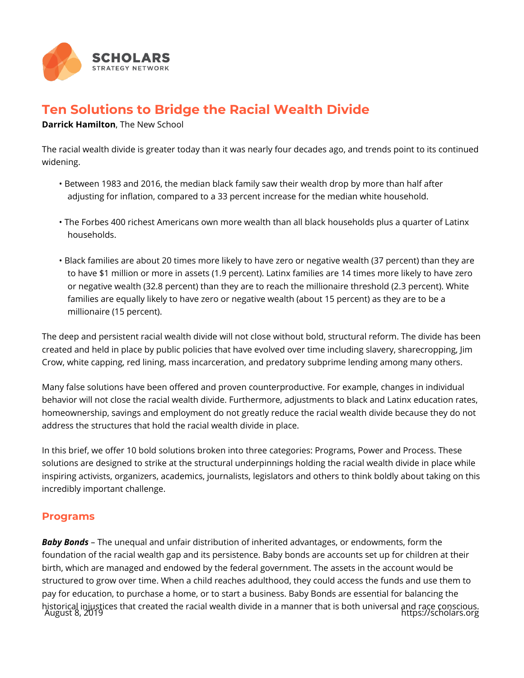

## **Ten Solutions to Bridge the Racial Wealth Divide**

**Darrick Hamilton**, The New School

The racial wealth divide is greater today than it was nearly four decades ago, and trends point to its continued widening.

- Between 1983 and 2016, the median black family saw their wealth drop by more than half after adjusting for inflation, compared to a 33 percent increase for the median white household.
- The Forbes 400 richest Americans own more wealth than all black households plus a quarter of Latinx households.
- Black families are about 20 times more likely to have zero or negative wealth (37 percent) than they are to have \$1 million or more in assets (1.9 percent). Latinx families are 14 times more likely to have zero or negative wealth (32.8 percent) than they are to reach the millionaire threshold (2.3 percent). White families are equally likely to have zero or negative wealth (about 15 percent) as they are to be a millionaire (15 percent).

The deep and persistent racial wealth divide will not close without bold, structural reform. The divide has been created and held in place by public policies that have evolved over time including slavery, sharecropping, Jim Crow, white capping, red lining, mass incarceration, and predatory subprime lending among many others.

Many false solutions have been offered and proven counterproductive. For example, changes in individual behavior will not close the racial wealth divide. Furthermore, adjustments to black and Latinx education rates, homeownership, savings and employment do not greatly reduce the racial wealth divide because they do not address the structures that hold the racial wealth divide in place.

In this brief, we offer 10 bold solutions broken into three categories: Programs, Power and Process. These solutions are designed to strike at the structural underpinnings holding the racial wealth divide in place while inspiring activists, organizers, academics, journalists, legislators and others to think boldly about taking on this incredibly important challenge.

## **Programs**

*Baby Bonds* – The unequal and unfair distribution of inherited advantages, or endowments, form the foundation of the racial wealth gap and its persistence. Baby bonds are accounts set up for children at their birth, which are managed and endowed by the federal government. The assets in the account would be structured to grow over time. When a child reaches adulthood, they could access the funds and use them to pay for education, to purchase a home, or to start a business. Baby Bonds are essential for balancing the historical injustices that created the racial wealth divide in a manner that is both universal and race conscious. August 8, 2019 https://scholars.org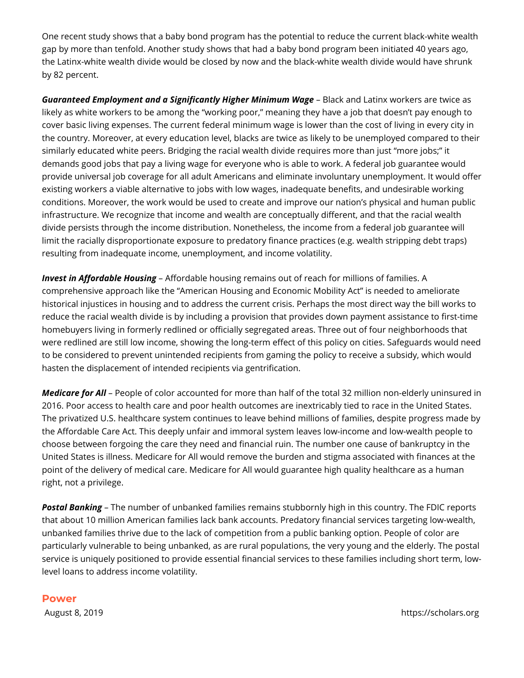One recent study shows that a baby bond program has the potential to reduce the current black-white wealth gap by more than tenfold. Another study shows that had a baby bond program been initiated 40 years ago, the Latinx-white wealth divide would be closed by now and the black-white wealth divide would have shrunk by 82 percent.

*Guaranteed Employment and a Significantly Higher Minimum Wage* – Black and Latinx workers are twice as likely as white workers to be among the "working poor," meaning they have a job that doesn't pay enough to cover basic living expenses. The current federal minimum wage is lower than the cost of living in every city in the country. Moreover, at every education level, blacks are twice as likely to be unemployed compared to their similarly educated white peers. Bridging the racial wealth divide requires more than just "more jobs;" it demands good jobs that pay a living wage for everyone who is able to work. A federal job guarantee would provide universal job coverage for all adult Americans and eliminate involuntary unemployment. It would offer existing workers a viable alternative to jobs with low wages, inadequate benefits, and undesirable working conditions. Moreover, the work would be used to create and improve our nation's physical and human public infrastructure. We recognize that income and wealth are conceptually different, and that the racial wealth divide persists through the income distribution. Nonetheless, the income from a federal job guarantee will limit the racially disproportionate exposure to predatory finance practices (e.g. wealth stripping debt traps) resulting from inadequate income, unemployment, and income volatility.

*Invest in Affordable Housing* – Affordable housing remains out of reach for millions of families. A comprehensive approach like the "American Housing and Economic Mobility Act" is needed to ameliorate historical injustices in housing and to address the current crisis. Perhaps the most direct way the bill works to reduce the racial wealth divide is by including a provision that provides down payment assistance to first-time homebuyers living in formerly redlined or officially segregated areas. Three out of four neighborhoods that were redlined are still low income, showing the long-term effect of this policy on cities. Safeguards would need to be considered to prevent unintended recipients from gaming the policy to receive a subsidy, which would hasten the displacement of intended recipients via gentrification.

*Medicare for All* – People of color accounted for more than half of the total 32 million non-elderly uninsured in 2016. Poor access to health care and poor health outcomes are inextricably tied to race in the United States. The privatized U.S. healthcare system continues to leave behind millions of families, despite progress made by the Affordable Care Act. This deeply unfair and immoral system leaves low-income and low-wealth people to choose between forgoing the care they need and financial ruin. The number one cause of bankruptcy in the United States is illness. Medicare for All would remove the burden and stigma associated with finances at the point of the delivery of medical care. Medicare for All would guarantee high quality healthcare as a human right, not a privilege.

*Postal Banking* – The number of unbanked families remains stubbornly high in this country. The FDIC reports that about 10 million American families lack bank accounts. Predatory financial services targeting low-wealth, unbanked families thrive due to the lack of competition from a public banking option. People of color are particularly vulnerable to being unbanked, as are rural populations, the very young and the elderly. The postal service is uniquely positioned to provide essential financial services to these families including short term, lowlevel loans to address income volatility.

## **Power**